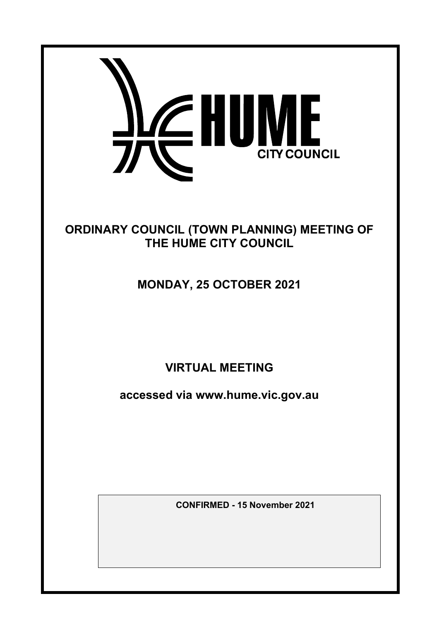

# ORDINARY COUNCIL (TOWN PLANNING) MEETING OF THE HUME CITY COUNCIL

# MONDAY, 25 OCTOBER 2021

VIRTUAL MEETING

accessed via www.hume.vic.gov.au

CONFIRMED **- 15 November 2021**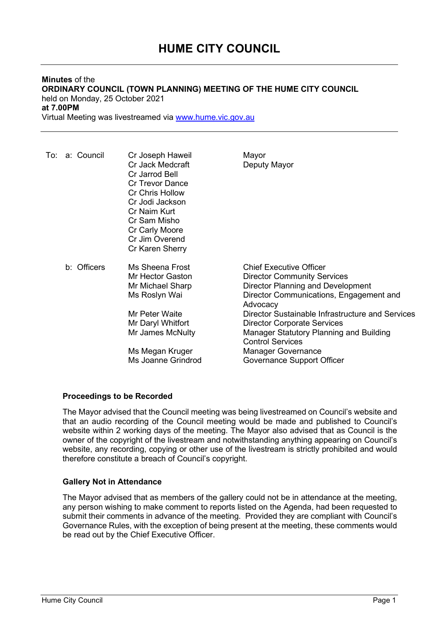# Minutes of the ORDINARY COUNCIL (TOWN PLANNING) MEETING OF THE HUME CITY COUNCIL held on Monday, 25 October 2021 at 7.00PM

Virtual Meeting was livestreamed via www.hume.vic.gov.au

| To: a: Council | Cr Joseph Haweil<br>Cr Jack Medcraft<br>Cr Jarrod Bell<br><b>Cr Trevor Dance</b><br><b>Cr Chris Hollow</b><br>Cr Jodi Jackson<br>Cr Naim Kurt<br>Cr Sam Misho<br>Cr Carly Moore<br>Cr Jim Overend<br>Cr Karen Sherry | Mayor<br>Deputy Mayor                                                                                                                                                                                                                                                                                                                                                                       |
|----------------|----------------------------------------------------------------------------------------------------------------------------------------------------------------------------------------------------------------------|---------------------------------------------------------------------------------------------------------------------------------------------------------------------------------------------------------------------------------------------------------------------------------------------------------------------------------------------------------------------------------------------|
| b: Officers    | Ms Sheena Frost<br>Mr Hector Gaston<br>Mr Michael Sharp<br>Ms Roslyn Wai<br>Mr Peter Waite<br>Mr Daryl Whitfort<br>Mr James McNulty<br>Ms Megan Kruger<br>Ms Joanne Grindrod                                         | <b>Chief Executive Officer</b><br><b>Director Community Services</b><br>Director Planning and Development<br>Director Communications, Engagement and<br>Advocacy<br>Director Sustainable Infrastructure and Services<br><b>Director Corporate Services</b><br>Manager Statutory Planning and Building<br><b>Control Services</b><br><b>Manager Governance</b><br>Governance Support Officer |

# Proceedings to be Recorded

The Mayor advised that the Council meeting was being livestreamed on Council's website and that an audio recording of the Council meeting would be made and published to Council's website within 2 working days of the meeting. The Mayor also advised that as Council is the owner of the copyright of the livestream and notwithstanding anything appearing on Council's website, any recording, copying or other use of the livestream is strictly prohibited and would therefore constitute a breach of Council's copyright.

# Gallery Not in Attendance

The Mayor advised that as members of the gallery could not be in attendance at the meeting, any person wishing to make comment to reports listed on the Agenda, had been requested to submit their comments in advance of the meeting. Provided they are compliant with Council's Governance Rules, with the exception of being present at the meeting, these comments would be read out by the Chief Executive Officer.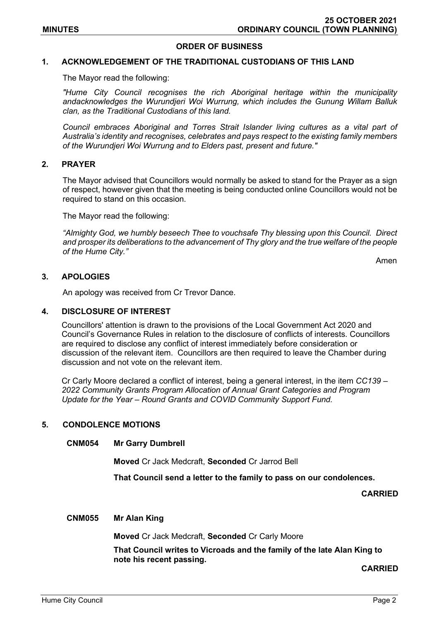## ORDER OF BUSINESS

# 1. ACKNOWLEDGEMENT OF THE TRADITIONAL CUSTODIANS OF THIS LAND

The Mayor read the following:

"Hume City Council recognises the rich Aboriginal heritage within the municipality andacknowledges the Wurundjeri Woi Wurrung, which includes the Gunung Willam Balluk clan, as the Traditional Custodians of this land.

Council embraces Aboriginal and Torres Strait Islander living cultures as a vital part of Australia's identity and recognises, celebrates and pays respect to the existing family members of the Wurundjeri Woi Wurrung and to Elders past, present and future."

#### 2. PRAYER

The Mayor advised that Councillors would normally be asked to stand for the Prayer as a sign of respect, however given that the meeting is being conducted online Councillors would not be required to stand on this occasion.

The Mayor read the following:

"Almighty God, we humbly beseech Thee to vouchsafe Thy blessing upon this Council. Direct and prosper its deliberations to the advancement of Thy glory and the true welfare of the people of the Hume City."

Amen

#### 3. APOLOGIES

An apology was received from Cr Trevor Dance.

#### 4. DISCLOSURE OF INTEREST

Councillors' attention is drawn to the provisions of the Local Government Act 2020 and Council's Governance Rules in relation to the disclosure of conflicts of interests. Councillors are required to disclose any conflict of interest immediately before consideration or discussion of the relevant item. Councillors are then required to leave the Chamber during discussion and not vote on the relevant item.

Cr Carly Moore declared a conflict of interest, being a general interest, in the item CC139 – 2022 Community Grants Program Allocation of Annual Grant Categories and Program Update for the Year – Round Grants and COVID Community Support Fund.

#### 5. CONDOLENCE MOTIONS

#### CNM054 Mr Garry Dumbrell

Moved Cr Jack Medcraft, Seconded Cr Jarrod Bell

That Council send a letter to the family to pass on our condolences.

CARRIED

#### CNM055 Mr Alan King

Moved Cr Jack Medcraft, Seconded Cr Carly Moore

That Council writes to Vicroads and the family of the late Alan King to note his recent passing.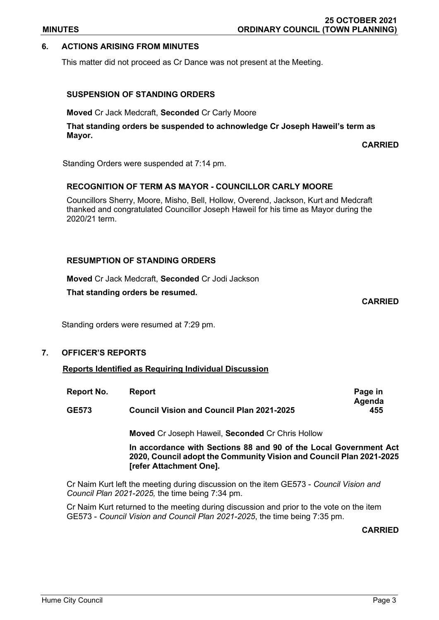# 6. ACTIONS ARISING FROM MINUTES

This matter did not proceed as Cr Dance was not present at the Meeting.

# SUSPENSION OF STANDING ORDERS

Moved Cr Jack Medcraft, Seconded Cr Carly Moore

That standing orders be suspended to achnowledge Cr Joseph Haweil's term as Mayor.

CARRIED

Standing Orders were suspended at 7:14 pm.

# RECOGNITION OF TERM AS MAYOR - COUNCILLOR CARLY MOORE

Councillors Sherry, Moore, Misho, Bell, Hollow, Overend, Jackson, Kurt and Medcraft thanked and congratulated Councillor Joseph Haweil for his time as Mayor during the 2020/21 term.

# RESUMPTION OF STANDING ORDERS

Moved Cr Jack Medcraft, Seconded Cr Jodi Jackson

That standing orders be resumed.

CARRIED

Standing orders were resumed at 7:29 pm.

## 7. OFFICER'S REPORTS

Reports Identified as Requiring Individual Discussion

| Report No.   | <b>Report</b>                                    | Page in |
|--------------|--------------------------------------------------|---------|
|              |                                                  | Agenda  |
| <b>GE573</b> | <b>Council Vision and Council Plan 2021-2025</b> | 455     |

Moved Cr Joseph Haweil, Seconded Cr Chris Hollow

In accordance with Sections 88 and 90 of the Local Government Act 2020, Council adopt the Community Vision and Council Plan 2021-2025 [refer Attachment One].

Cr Naim Kurt left the meeting during discussion on the item GE573 - Council Vision and Council Plan 2021-2025, the time being 7:34 pm.

Cr Naim Kurt returned to the meeting during discussion and prior to the vote on the item GE573 - Council Vision and Council Plan 2021-2025, the time being 7:35 pm.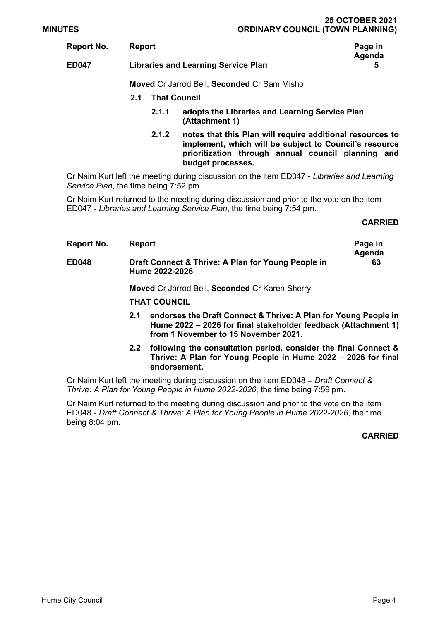| Report No.   | <b>Report</b>                              |                                                                                                                                                                                                | Page in     |
|--------------|--------------------------------------------|------------------------------------------------------------------------------------------------------------------------------------------------------------------------------------------------|-------------|
| <b>ED047</b> | <b>Libraries and Learning Service Plan</b> |                                                                                                                                                                                                | Agenda<br>5 |
|              |                                            | Moved Cr Jarrod Bell, Seconded Cr Sam Misho                                                                                                                                                    |             |
|              | 2.1                                        | <b>That Council</b>                                                                                                                                                                            |             |
|              | 2.1.1                                      | adopts the Libraries and Learning Service Plan<br>(Attachment 1)                                                                                                                               |             |
|              | 2.1.2                                      | notes that this Plan will require additional resources to<br>implement, which will be subject to Council's resource<br>prioritization through annual council planning and<br>budget processes. |             |

Cr Naim Kurt left the meeting during discussion on the item ED047 - Libraries and Learning Service Plan, the time being 7:52 pm.

Cr Naim Kurt returned to the meeting during discussion and prior to the vote on the item ED047 - Libraries and Learning Service Plan, the time being 7:54 pm.

## CARRIED

| Report No.   | Report                                                               | Page in<br>Agenda |
|--------------|----------------------------------------------------------------------|-------------------|
| <b>ED048</b> | Draft Connect & Thrive: A Plan for Young People in<br>Hume 2022-2026 | 63                |

Moved Cr Jarrod Bell, Seconded Cr Karen Sherry

THAT COUNCIL

- 2.1 endorses the Draft Connect & Thrive: A Plan for Young People in Hume 2022 – 2026 for final stakeholder feedback (Attachment 1) from 1 November to 15 November 2021.
- 2.2 following the consultation period, consider the final Connect & Thrive: A Plan for Young People in Hume 2022 – 2026 for final endorsement.

Cr Naim Kurt left the meeting during discussion on the item ED048 – Draft Connect & Thrive: A Plan for Young People in Hume 2022-2026, the time being 7:59 pm.

Cr Naim Kurt returned to the meeting during discussion and prior to the vote on the item ED048 - Draft Connect & Thrive: A Plan for Young People in Hume 2022-2026, the time being 8:04 pm.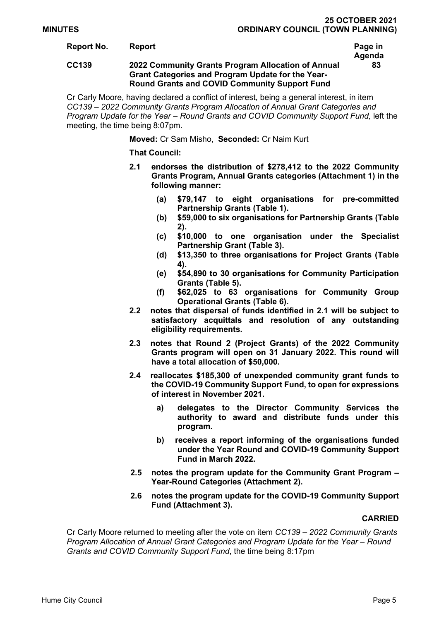Agenda

83

## Report No. Report **Report** Report **Report Access Page in**

## CC139 2022 Community Grants Program Allocation of Annual Grant Categories and Program Update for the Year-Round Grants and COVID Community Support Fund

Cr Carly Moore, having declared a conflict of interest, being a general interest, in item CC139 – 2022 Community Grants Program Allocation of Annual Grant Categories and Program Update for the Year – Round Grants and COVID Community Support Fund, left the meeting, the time being 8:07pm.

Moved: Cr Sam Misho, Seconded: Cr Naim Kurt

#### That Council:

- 2.1 endorses the distribution of \$278,412 to the 2022 Community Grants Program, Annual Grants categories (Attachment 1) in the following manner:
	- (a) \$79,147 to eight organisations for pre-committed Partnership Grants (Table 1).
	- (b) \$59,000 to six organisations for Partnership Grants (Table 2).
	- (c) \$10,000 to one organisation under the Specialist Partnership Grant (Table 3).
	- (d) \$13,350 to three organisations for Project Grants (Table 4).
	- (e) \$54,890 to 30 organisations for Community Participation Grants (Table 5).
	- (f) \$62,025 to 63 organisations for Community Group Operational Grants (Table 6).
- 2.2 notes that dispersal of funds identified in 2.1 will be subject to satisfactory acquittals and resolution of any outstanding eligibility requirements.
- 2.3 notes that Round 2 (Project Grants) of the 2022 Community Grants program will open on 31 January 2022. This round will have a total allocation of \$50,000.
- 2.4 reallocates \$185,300 of unexpended community grant funds to the COVID-19 Community Support Fund, to open for expressions of interest in November 2021.
	- a) delegates to the Director Community Services the authority to award and distribute funds under this program.
	- b) receives a report informing of the organisations funded under the Year Round and COVID-19 Community Support Fund in March 2022.
- 2.5 notes the program update for the Community Grant Program Year-Round Categories (Attachment 2).
- 2.6 notes the program update for the COVID-19 Community Support Fund (Attachment 3).

#### CARRIED

Cr Carly Moore returned to meeting after the vote on item CC139 – 2022 Community Grants Program Allocation of Annual Grant Categories and Program Update for the Year – Round Grants and COVID Community Support Fund, the time being 8:17pm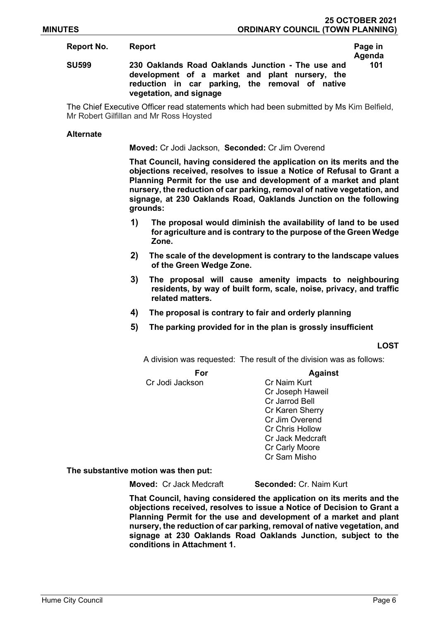### Report No. Report **Report** Report **Report Access Page in**

# Agenda 101

## SU599 230 Oaklands Road Oaklands Junction - The use and development of a market and plant nursery, the reduction in car parking, the removal of native vegetation, and signage

The Chief Executive Officer read statements which had been submitted by Ms Kim Belfield, Mr Robert Gilfillan and Mr Ross Hoysted

#### **Alternate**

#### Moved: Cr Jodi Jackson, Seconded: Cr Jim Overend

That Council, having considered the application on its merits and the objections received, resolves to issue a Notice of Refusal to Grant a Planning Permit for the use and development of a market and plant nursery, the reduction of car parking, removal of native vegetation, and signage, at 230 Oaklands Road, Oaklands Junction on the following grounds:

- 1) The proposal would diminish the availability of land to be used for agriculture and is contrary to the purpose of the Green Wedge Zone.
- 2) The scale of the development is contrary to the landscape values of the Green Wedge Zone.
- 3) The proposal will cause amenity impacts to neighbouring residents, by way of built form, scale, noise, privacy, and traffic related matters.
- 4) The proposal is contrary to fair and orderly planning
- 5) The parking provided for in the plan is grossly insufficient

LOST

A division was requested: The result of the division was as follows:

#### For Against

Cr Jodi Jackson Cr Naim Kurt

 Cr Joseph Haweil Cr Jarrod Bell Cr Karen Sherry Cr Jim Overend Cr Chris Hollow Cr Jack Medcraft Cr Carly Moore Cr Sam Misho

#### The substantive motion was then put:

**Moved: Cr Jack Medcraft Seconded: Cr. Naim Kurt** 

That Council, having considered the application on its merits and the objections received, resolves to issue a Notice of Decision to Grant a Planning Permit for the use and development of a market and plant nursery, the reduction of car parking, removal of native vegetation, and signage at 230 Oaklands Road Oaklands Junction, subject to the conditions in Attachment 1.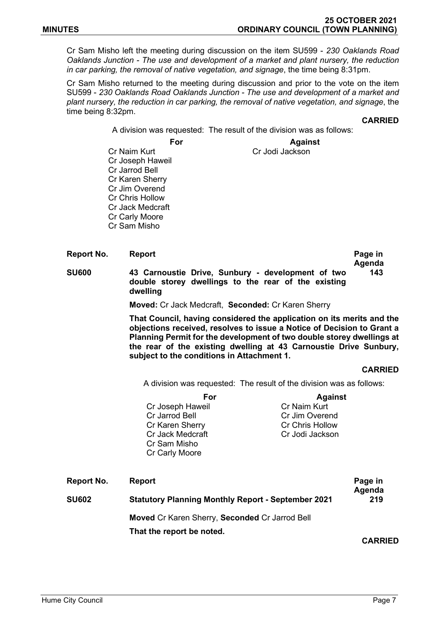Cr Sam Misho left the meeting during discussion on the item SU599 - 230 Oaklands Road Oaklands Junction - The use and development of a market and plant nursery, the reduction in car parking, the removal of native vegetation, and signage, the time being 8:31pm.

Cr Sam Misho returned to the meeting during discussion and prior to the vote on the item SU599 - 230 Oaklands Road Oaklands Junction - The use and development of a market and plant nursery, the reduction in car parking, the removal of native vegetation, and signage, the time being 8:32pm.

**CARRIED** 

A division was requested: The result of the division was as follows:

For Against

Cr Naim Kurt Cr Jodi Jackson Cr Joseph Haweil Cr Jarrod Bell Cr Karen Sherry Cr Jim Overend Cr Chris Hollow Cr Jack Medcraft Cr Carly Moore Cr Sam Misho

Report No. Beport **Report** Report **Page in** Agenda SU600 43 Carnoustie Drive, Sunbury - development of two double storey dwellings to the rear of the existing dwelling 143

Moved: Cr Jack Medcraft, Seconded: Cr Karen Sherry

That Council, having considered the application on its merits and the objections received, resolves to issue a Notice of Decision to Grant a Planning Permit for the development of two double storey dwellings at the rear of the existing dwelling at 43 Carnoustie Drive Sunbury, subject to the conditions in Attachment 1.

#### CARRIED

A division was requested: The result of the division was as follows:

|              | For<br>Cr Joseph Haweil<br>Cr Jarrod Bell<br>Cr Karen Sherry<br>Cr Jack Medcraft<br>Cr Sam Misho<br>Cr Carly Moore | <b>Against</b><br>Cr Naim Kurt<br>Cr Jim Overend<br>Cr Chris Hollow<br>Cr Jodi Jackson |                   |
|--------------|--------------------------------------------------------------------------------------------------------------------|----------------------------------------------------------------------------------------|-------------------|
| Report No.   | <b>Report</b>                                                                                                      |                                                                                        | Page in<br>Agenda |
| <b>SU602</b> | <b>Statutory Planning Monthly Report - September 2021</b>                                                          |                                                                                        |                   |

Moved Cr Karen Sherry, Seconded Cr Jarrod Bell

That the report be noted.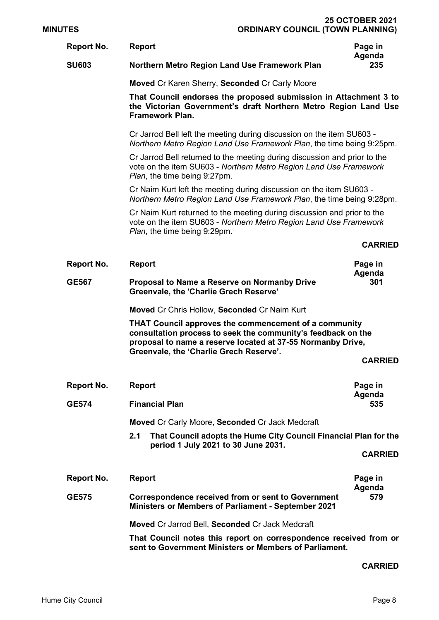| <b>MINUTES</b> |                   | <b>ORDINARY COUNCIL (TOWN PLANNING)</b>                                                                                                                                                                                                |                   |
|----------------|-------------------|----------------------------------------------------------------------------------------------------------------------------------------------------------------------------------------------------------------------------------------|-------------------|
|                | <b>Report No.</b> | <b>Report</b>                                                                                                                                                                                                                          | Page in<br>Agenda |
|                | <b>SU603</b>      | Northern Metro Region Land Use Framework Plan                                                                                                                                                                                          | 235               |
|                |                   | Moved Cr Karen Sherry, Seconded Cr Carly Moore                                                                                                                                                                                         |                   |
|                |                   | That Council endorses the proposed submission in Attachment 3 to<br>the Victorian Government's draft Northern Metro Region Land Use<br><b>Framework Plan.</b>                                                                          |                   |
|                |                   | Cr Jarrod Bell left the meeting during discussion on the item SU603 -<br>Northern Metro Region Land Use Framework Plan, the time being 9:25pm.                                                                                         |                   |
|                |                   | Cr Jarrod Bell returned to the meeting during discussion and prior to the<br>vote on the item SU603 - Northern Metro Region Land Use Framework<br>Plan, the time being 9:27pm.                                                         |                   |
|                |                   | Cr Naim Kurt left the meeting during discussion on the item SU603 -<br>Northern Metro Region Land Use Framework Plan, the time being 9:28pm.                                                                                           |                   |
|                |                   | Cr Naim Kurt returned to the meeting during discussion and prior to the<br>vote on the item SU603 - Northern Metro Region Land Use Framework<br>Plan, the time being 9:29pm.                                                           |                   |
|                |                   |                                                                                                                                                                                                                                        | <b>CARRIED</b>    |
|                | <b>Report No.</b> | <b>Report</b>                                                                                                                                                                                                                          | Page in<br>Agenda |
|                | <b>GE567</b>      | Proposal to Name a Reserve on Normanby Drive<br>Greenvale, the 'Charlie Grech Reserve'                                                                                                                                                 | 301               |
|                |                   | Moved Cr Chris Hollow, Seconded Cr Naim Kurt                                                                                                                                                                                           |                   |
|                |                   | <b>THAT Council approves the commencement of a community</b><br>consultation process to seek the community's feedback on the<br>proposal to name a reserve located at 37-55 Normanby Drive,<br>Greenvale, the 'Charlie Grech Reserve'. |                   |
|                |                   |                                                                                                                                                                                                                                        | <b>CARRIED</b>    |
|                | <b>Report No.</b> | <b>Report</b>                                                                                                                                                                                                                          | Page in           |
|                | <b>GE574</b>      | <b>Financial Plan</b>                                                                                                                                                                                                                  | Agenda<br>535     |
|                |                   | Moved Cr Carly Moore, Seconded Cr Jack Medcraft                                                                                                                                                                                        |                   |
|                |                   | That Council adopts the Hume City Council Financial Plan for the<br>2.1<br>period 1 July 2021 to 30 June 2031.                                                                                                                         |                   |
|                |                   |                                                                                                                                                                                                                                        | <b>CARRIED</b>    |
|                | Report No.        | <b>Report</b>                                                                                                                                                                                                                          | Page in<br>Agenda |
|                | <b>GE575</b>      | <b>Correspondence received from or sent to Government</b><br><b>Ministers or Members of Parliament - September 2021</b>                                                                                                                | 579               |
|                |                   | Moved Cr Jarrod Bell, Seconded Cr Jack Medcraft                                                                                                                                                                                        |                   |
|                |                   | That Council notes this report on correspondence received from or<br>sent to Government Ministers or Members of Parliament.                                                                                                            |                   |

# CARRIED

25 OCTOBER 2021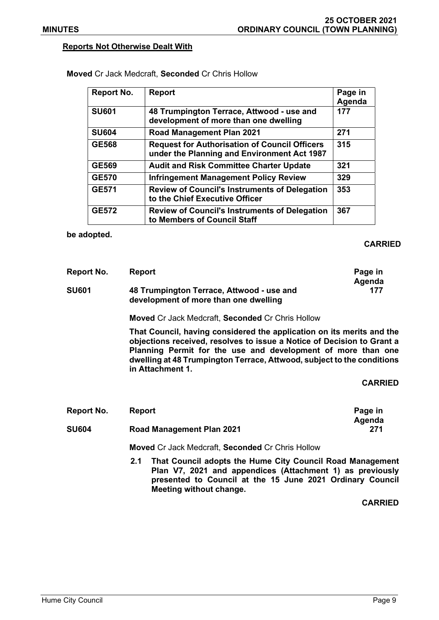### Reports Not Otherwise Dealt With

| Report No.   | <b>Report</b>                                                                                       | Page in<br>Agenda |
|--------------|-----------------------------------------------------------------------------------------------------|-------------------|
| <b>SU601</b> | 48 Trumpington Terrace, Attwood - use and<br>development of more than one dwelling                  | 177               |
| <b>SU604</b> | <b>Road Management Plan 2021</b>                                                                    | 271               |
| <b>GE568</b> | <b>Request for Authorisation of Council Officers</b><br>under the Planning and Environment Act 1987 | 315               |
| <b>GE569</b> | <b>Audit and Risk Committee Charter Update</b>                                                      | 321               |
| <b>GE570</b> | <b>Infringement Management Policy Review</b>                                                        | 329               |
| <b>GE571</b> | <b>Review of Council's Instruments of Delegation</b><br>to the Chief Executive Officer              | 353               |
| <b>GE572</b> | <b>Review of Council's Instruments of Delegation</b><br>to Members of Council Staff                 | 367               |

Moved Cr Jack Medcraft, Seconded Cr Chris Hollow

be adopted.

## CARRIED

| Report No.   | Report                                                                             | Page in<br>Agenda |
|--------------|------------------------------------------------------------------------------------|-------------------|
| <b>SU601</b> | 48 Trumpington Terrace, Attwood - use and<br>development of more than one dwelling | 177               |

Moved Cr Jack Medcraft, Seconded Cr Chris Hollow

That Council, having considered the application on its merits and the objections received, resolves to issue a Notice of Decision to Grant a Planning Permit for the use and development of more than one dwelling at 48 Trumpington Terrace, Attwood, subject to the conditions in Attachment 1.

#### CARRIED

| Report No.   | Report                           | Page in |
|--------------|----------------------------------|---------|
|              |                                  | Agenda  |
| <b>SU604</b> | <b>Road Management Plan 2021</b> | 271     |

Moved Cr Jack Medcraft, Seconded Cr Chris Hollow

2.1 That Council adopts the Hume City Council Road Management Plan V7, 2021 and appendices (Attachment 1) as previously presented to Council at the 15 June 2021 Ordinary Council Meeting without change.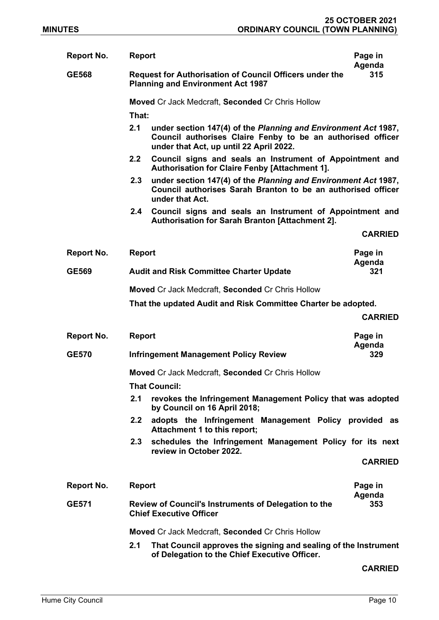| <b>Report No.</b>                                       | <b>Report</b>                                                                                              |                                                                                                                                                                          | Page in<br>Agenda |
|---------------------------------------------------------|------------------------------------------------------------------------------------------------------------|--------------------------------------------------------------------------------------------------------------------------------------------------------------------------|-------------------|
| <b>GE568</b>                                            | <b>Request for Authorisation of Council Officers under the</b><br><b>Planning and Environment Act 1987</b> |                                                                                                                                                                          | 315               |
|                                                         | Moved Cr Jack Medcraft, Seconded Cr Chris Hollow                                                           |                                                                                                                                                                          |                   |
|                                                         | That:                                                                                                      |                                                                                                                                                                          |                   |
|                                                         | 2.1                                                                                                        | under section 147(4) of the Planning and Environment Act 1987,<br>Council authorises Claire Fenby to be an authorised officer<br>under that Act, up until 22 April 2022. |                   |
|                                                         | 2.2                                                                                                        | Council signs and seals an Instrument of Appointment and<br><b>Authorisation for Claire Fenby [Attachment 1].</b>                                                        |                   |
|                                                         | 2.3                                                                                                        | under section 147(4) of the Planning and Environment Act 1987,<br>Council authorises Sarah Branton to be an authorised officer<br>under that Act.                        |                   |
|                                                         | 2.4                                                                                                        | Council signs and seals an Instrument of Appointment and<br>Authorisation for Sarah Branton [Attachment 2].                                                              |                   |
|                                                         |                                                                                                            |                                                                                                                                                                          | <b>CARRIED</b>    |
| <b>Report No.</b>                                       | <b>Report</b>                                                                                              |                                                                                                                                                                          | Page in<br>Agenda |
| <b>GE569</b>                                            |                                                                                                            | <b>Audit and Risk Committee Charter Update</b>                                                                                                                           | 321               |
|                                                         |                                                                                                            | Moved Cr Jack Medcraft, Seconded Cr Chris Hollow                                                                                                                         |                   |
|                                                         |                                                                                                            | That the updated Audit and Risk Committee Charter be adopted.                                                                                                            |                   |
|                                                         |                                                                                                            |                                                                                                                                                                          | <b>CARRIED</b>    |
| <b>Report No.</b>                                       | <b>Report</b>                                                                                              |                                                                                                                                                                          | Page in<br>Agenda |
| <b>GE570</b>                                            |                                                                                                            | <b>Infringement Management Policy Review</b>                                                                                                                             | 329               |
|                                                         |                                                                                                            | Moved Cr Jack Medcraft, Seconded Cr Chris Hollow                                                                                                                         |                   |
|                                                         |                                                                                                            | <b>That Council:</b>                                                                                                                                                     |                   |
|                                                         | 2.1                                                                                                        | revokes the Infringement Management Policy that was adopted<br>by Council on 16 April 2018;                                                                              |                   |
|                                                         | 2.2                                                                                                        | adopts the Infringement Management Policy provided<br>Attachment 1 to this report;                                                                                       | as                |
|                                                         | 2.3                                                                                                        | schedules the Infringement Management Policy for its next<br>review in October 2022.                                                                                     |                   |
|                                                         |                                                                                                            |                                                                                                                                                                          | <b>CARRIED</b>    |
| Report No.                                              | <b>Report</b>                                                                                              |                                                                                                                                                                          | Page in           |
| <b>GE571</b>                                            |                                                                                                            | Review of Council's Instruments of Delegation to the                                                                                                                     | Agenda<br>353     |
|                                                         |                                                                                                            | <b>Chief Executive Officer</b>                                                                                                                                           |                   |
| <b>Moved Cr Jack Medcraft, Seconded Cr Chris Hollow</b> |                                                                                                            |                                                                                                                                                                          |                   |
|                                                         | 2.1                                                                                                        | That Council approves the signing and sealing of the Instrument<br>of Delegation to the Chief Executive Officer.                                                         |                   |